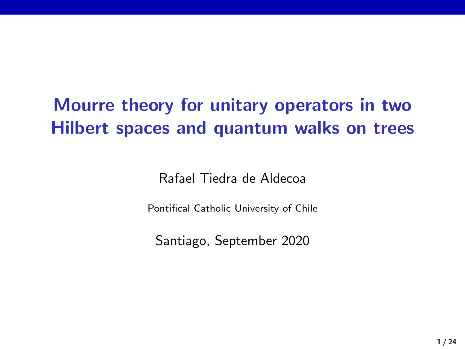# Mourre theory for unitary operators in two Hilbert spaces and quantum walks on trees

Rafael Tiedra de Aldecoa

Pontifical Catholic University of Chile

Santiago, September 2020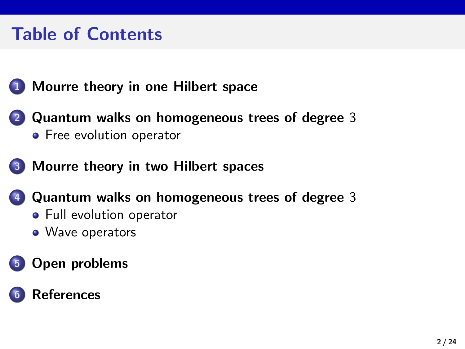# Table of Contents

### **1** [Mourre theory in one Hilbert space](#page-2-0)

- 2 [Quantum walks on homogeneous trees of degree](#page-6-0) 3 **•** [Free evolution operator](#page-10-0)
- 3 [Mourre theory in two Hilbert spaces](#page-15-0)
	- 4 [Quantum walks on homogeneous trees of degree](#page-16-0) 3
		- **•** [Full evolution operator](#page-16-0)
		- [Wave operators](#page-17-0)

### 5 [Open problems](#page-21-0)

### **[References](#page-23-0)**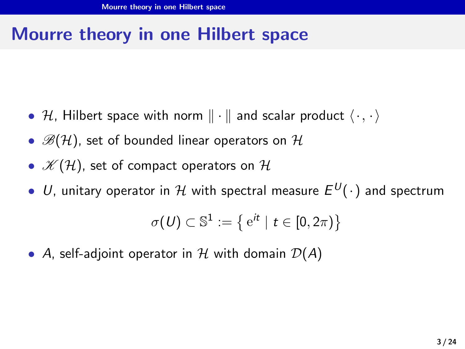# <span id="page-2-0"></span>Mourre theory in one Hilbert space

- H, Hilbert space with norm  $\|\cdot\|$  and scalar product  $\langle \cdot, \cdot \rangle$
- $\mathscr{B}(H)$ , set of bounded linear operators on  $\mathcal{H}$
- $\mathscr{K}(\mathcal{H})$ , set of compact operators on  $\mathcal{H}$
- U, unitary operator in H with spectral measure E <sup>U</sup>(·) and spectrum

$$
\sigma(\mathit{U}) \subset \mathbb{S}^1 := \big\{\, \mathrm{e}^{it} \mid t \in [0,2\pi) \big\}
$$

• A, self-adjoint operator in H with domain  $\mathcal{D}(A)$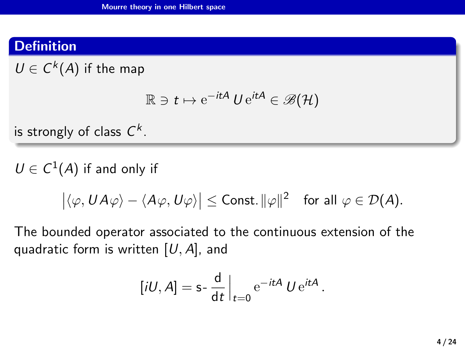### **Definition**

 $U \in C^k(A)$  if the map

$$
\mathbb{R}\ni t\mapsto {\rm e}^{-itA}\ U\,{\rm e}^{itA}\in\mathscr{B}({\cal H})
$$

is strongly of class  $\mathsf{C}^k.$ 

 $U \in C^1(A)$  if and only if

$$
\big|\langle \varphi, UA\varphi\rangle - \langle A\varphi, U\varphi\rangle\big| \leq \text{Const.} \|\varphi\|^2 \quad \text{for all } \varphi \in \mathcal{D}(A).
$$

The bounded operator associated to the continuous extension of the quadratic form is written  $[U, A]$ , and

$$
[iU, A] = \mathsf{s} \cdot \frac{\mathsf{d}}{\mathsf{d}t} \Big|_{t=0} e^{-itA} U e^{itA}.
$$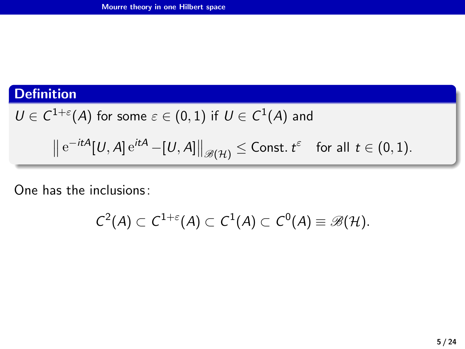### **Definition**

$$
U\in C^{1+\varepsilon}(A) \text{ for some }\varepsilon\in (0,1) \text{ if } U\in C^1(A) \text{ and }
$$

$$
\left\|\mathop{\mathrm{e}}\nolimits^{-itA}[U,A]\mathop{\mathrm{e}}\nolimits^{itA}-[U,A]\right\|_{\mathscr{B}(\mathcal{H})}\le{\text{\rm Const.}\,} t^{\varepsilon}\quad\text{for all}\ \, t\in(0,1).
$$

One has the inclusions:

$$
C^2(A) \subset C^{1+\varepsilon}(A) \subset C^1(A) \subset C^0(A) \equiv \mathscr{B}(\mathcal{H}).
$$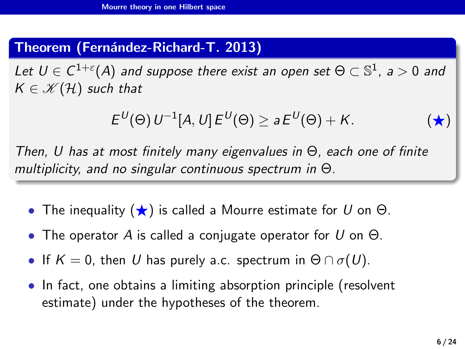### Theorem (Fernández-Richard-T. 2013)

Let  $U \in C^{1+\varepsilon}(A)$  and suppose there exist an open set  $\Theta \subset \mathbb{S}^1$ , a  $>0$  and  $K \in \mathcal{K}(\mathcal{H})$  such that

<span id="page-5-0"></span>
$$
E^{U}(\Theta) U^{-1}[A, U] E^{U}(\Theta) \ge a E^{U}(\Theta) + K.
$$
 (\*)

Then, U has at most finitely many eigenvalues in Θ, each one of finite multiplicity, and no singular continuous spectrum in Θ.

- The inequality  $(\star)$  is called a Mourre estimate for U on  $\Theta$ .
- The operator A is called a conjugate operator for U on  $\Theta$ .
- If  $K = 0$ , then U has purely a.c. spectrum in  $\Theta \cap \sigma(U)$ .
- In fact, one obtains a limiting absorption principle (resolvent estimate) under the hypotheses of the theorem.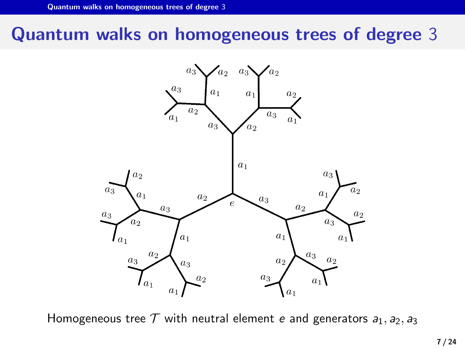## <span id="page-6-0"></span>Quantum walks on homogeneous trees of degree 3



Homogeneous tree  $\mathcal T$  with neutral element e and generators  $a_1, a_2, a_3$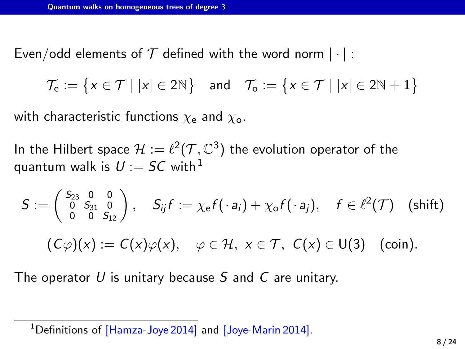Even/odd elements of  $T$  defined with the word norm  $|\cdot|$ :

 $\mathcal{T}_{\mathsf{e}} := \big\{ x \in \mathcal{T} \mid |x| \in 2\mathbb{N} \big\} \quad \text{and} \quad \mathcal{T}_{\mathsf{o}} := \big\{ x \in \mathcal{T} \mid |x| \in 2\mathbb{N} + 1 \big\}$ 

with characteristic functions  $\chi_e$  and  $\chi_o$ .

In the Hilbert space  $\mathcal{H} := \ell^2(\mathcal{T}, \mathbb{C}^3)$  the evolution operator of the quantum walk is  $U := SC$  with <sup>1</sup>

$$
S := \begin{pmatrix} S_{23} & 0 & 0 \\ 0 & S_{31} & 0 \\ 0 & 0 & S_{12} \end{pmatrix}, \quad S_{ij}f := \chi_{e}f(\cdot a_{i}) + \chi_{o}f(\cdot a_{j}), \quad f \in \ell^{2}(\mathcal{T}) \quad \text{(shift)}
$$

$$
(C\varphi)(x) := C(x)\varphi(x), \quad \varphi \in \mathcal{H}, \ x \in \mathcal{T}, \ C(x) \in U(3) \quad \text{(coin)}.
$$

The operator U is unitary because S and C are unitary.

<sup>&</sup>lt;sup>1</sup>Definitions of [Hamza-Joye 2014] and [Joye-Marin 2014].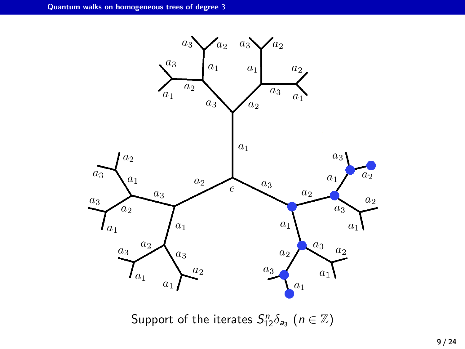

Support of the iterates  $S_{12}^n \delta_{a_3}$   $(n \in \mathbb{Z})$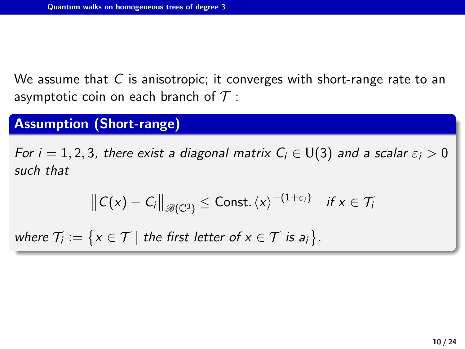We assume that  $C$  is anisotropic; it converges with short-range rate to an asymptotic coin on each branch of  $\mathcal T$  :

### Assumption (Short-range)

For  $i = 1, 2, 3$ , there exist a diagonal matrix  $C_i \in U(3)$  and a scalar  $\varepsilon_i > 0$ such that

$$
||C(x) - C_i||_{\mathscr{B}(\mathbb{C}^3)} \leq \text{Const.} \langle x \rangle^{-(1+\varepsilon_i)} \quad \text{if } x \in \mathcal{T}_i
$$

where  $\mathcal{T}_i := \big\{ \mathsf{x} \in \mathcal{T} \mid \text{the first letter of } \mathsf{x} \in \mathcal{T} \text{ is } \mathsf{a}_i \big\}.$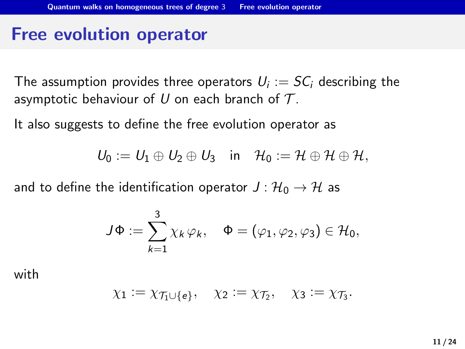### <span id="page-10-0"></span>Free evolution operator

The assumption provides three operators  $U_i:=\mathcal{S}\mathcal{C}_i$  describing the asymptotic behaviour of U on each branch of  $T$ .

It also suggests to define the free evolution operator as

$$
U_0 := U_1 \oplus U_2 \oplus U_3 \quad \text{in} \quad \mathcal{H}_0 := \mathcal{H} \oplus \mathcal{H} \oplus \mathcal{H},
$$

and to define the identification operator  $J: {\cal H}_0 \rightarrow {\cal H}$  as

$$
J\Phi := \sum_{k=1}^3 \chi_k \varphi_k, \quad \Phi = (\varphi_1, \varphi_2, \varphi_3) \in \mathcal{H}_0,
$$

with

$$
\chi_1:=\chi_{\mathcal{T}_1\cup\{e\}},\quad \chi_2:=\chi_{\mathcal{T}_2},\quad \chi_3:=\chi_{\mathcal{T}_3}.
$$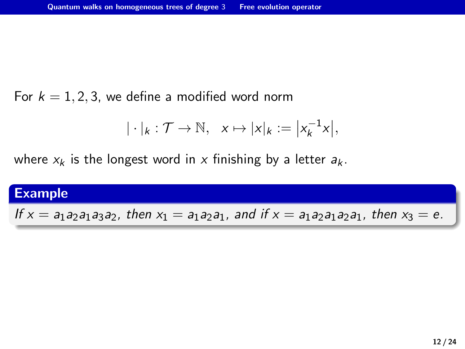For  $k = 1, 2, 3$ , we define a modified word norm

$$
|\cdot|_k:\mathcal{T}\to\mathbb{N},\ \ x\mapsto|x|_k:=\big|x_k^{-1}x\big|,
$$

where  $x_k$  is the longest word in x finishing by a letter  $a_k$ .

#### Example

If  $x = a_1a_2a_1a_3a_2$ , then  $x_1 = a_1a_2a_1$ , and if  $x = a_1a_2a_1a_2a_1$ , then  $x_3 = e$ .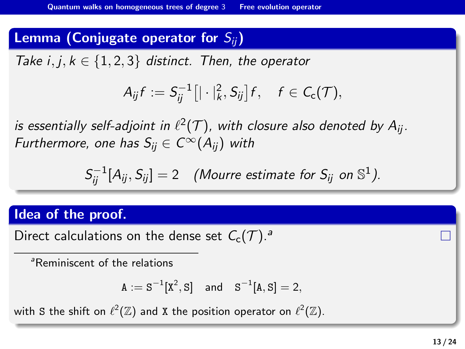### Lemma (Conjugate operator for  $S_{ii}$ )

Take  $i, j, k \in \{1, 2, 3\}$  distinct. Then, the operator

$$
A_{ij}f := S_{ij}^{-1}\big[|\cdot|_k^2, S_{ij}\big]f, \quad f \in C_{\rm c}(\mathcal{T}),
$$

is essentially self-adjoint in  $\ell^2(\mathcal{T})$ , with closure also denoted by  $A_{ij}$ . Furthermore, one has  $S_{ii} \in C^{\infty}(A_{ii})$  with

$$
S_{ij}^{-1}[A_{ij}, S_{ij}] = 2 \quad \text{(Mourre estimate for } S_{ij} \text{ on } \mathbb{S}^1 \text{)}.
$$

### Idea of the proof.

Direct calculations on the dense set  $C_c(\mathcal{T})$ .

<sup>a</sup>Reminiscent of the relations

$$
A := S^{-1}[X^2, S] \quad \text{and} \quad S^{-1}[A, S] = 2,
$$

with S the shift on  $\ell^2(\Z)$  and X the position operator on  $\ell^2(\Z).$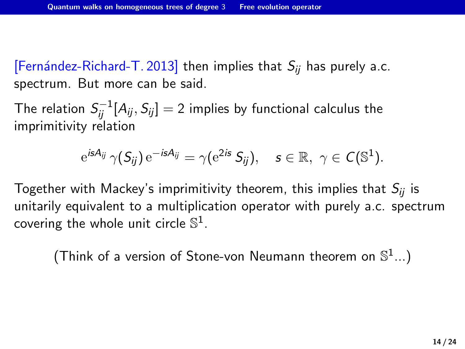[Fernández-Richard-T. 2013] then implies that  $S_{ii}$  has purely a.c. spectrum. But more can be said.

The relation  $\mathcal{S}^{-1}_{ij}[A_{ij},S_{ij}]=2$  implies by functional calculus the imprimitivity relation

$$
e^{isA_{ij}} \gamma(S_{ij}) e^{-isA_{ij}} = \gamma(e^{2is} S_{ij}), \quad s \in \mathbb{R}, \ \gamma \in C(\mathbb{S}^1).
$$

Together with Mackey's imprimitivity theorem, this implies that  $S_{ii}$  is unitarily equivalent to a multiplication operator with purely a.c. spectrum covering the whole unit circle  $\mathbb{S}^1$ .

(Think of a version of Stone-von Neumann theorem on  $\mathbb{S}^1...$ )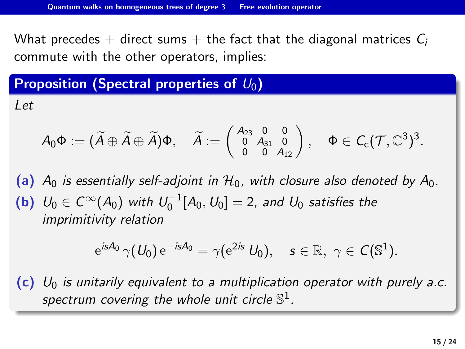What precedes  $+$  direct sums  $+$  the fact that the diagonal matrices  $C_i$ commute with the other operators, implies:

### Proposition (Spectral properties of  $U_0$ )

Let

$$
A_0\Phi:=(\widetilde{A}\oplus\widetilde{A}\oplus\widetilde{A})\Phi,\quad \widetilde{A}:=\left(\begin{smallmatrix}A_{23}&0&0\\0&A_{31}&0\\0&0&A_{12}\end{smallmatrix}\right),\quad \Phi\in \mathcal{C}_\mathsf{c}(\mathcal{T},\mathbb{C}^3)^3.
$$

(a)  $A_0$  is essentially self-adjoint in  $H_0$ , with closure also denoted by  $A_0$ . (b)  $U_0 \in C^{\infty}(A_0)$  with  $U_0^{-1}[A_0, U_0] = 2$ , and  $U_0$  satisfies the imprimitivity relation

$$
e^{isA_0}\,\gamma(U_0)\,e^{-isA_0}=\gamma(e^{2is}\,U_0),\quad s\in\mathbb{R},\ \gamma\in C(\mathbb{S}^1).
$$

(c)  $U_0$  is unitarily equivalent to a multiplication operator with purely a.c. spectrum covering the whole unit circle  $\mathbb{S}^{1}.$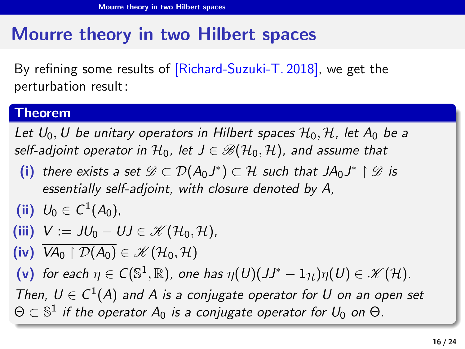# <span id="page-15-0"></span>Mourre theory in two Hilbert spaces

By refining some results of [Richard-Suzuki-T. 2018], we get the perturbation result:

#### Theorem

Let  $U_0, U$  be unitary operators in Hilbert spaces  $\mathcal{H}_0, \mathcal{H}$ , let  $A_0$  be a self-adjoint operator in  $H_0$ , let  $J \in \mathcal{B}(\mathcal{H}_0, \mathcal{H})$ , and assume that

(i) there exists a set  $\mathscr{D} \subset \mathcal{D}(A_0 J^*) \subset \mathcal{H}$  such that  $JA_0 J^* \restriction \mathscr{D}$  is essentially self-adjoint, with closure denoted by A,

$$
(ii) U_0 \in C^1(A_0),
$$

(iii) 
$$
V := JU_0 - UJ \in \mathcal{K}(\mathcal{H}_0, \mathcal{H})
$$
,

(iv)  $\overline{VA_0 \restriction \mathcal{D}(A_0)} \in \mathcal{K}(\mathcal{H}_0, \mathcal{H})$ 

(v) for each  $\eta \in C(\mathbb{S}^1,\mathbb{R})$ , one has  $\eta(U)(JJ^* - 1_{\mathcal{H}})\eta(U) \in \mathscr{K}(\mathcal{H})$ .

Then,  $U \in C^1(A)$  and A is a conjugate operator for U on an open set  $\Theta \subset \mathbb{S}^1$  if the operator  $A_0$  is a conjugate operator for  $U_0$  on  $\Theta.$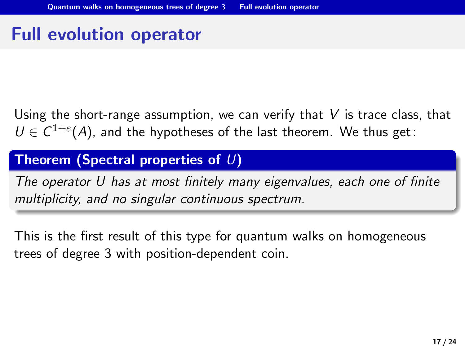# <span id="page-16-0"></span>Full evolution operator

Using the short-range assumption, we can verify that  $V$  is trace class, that  $U \in C^{1+\varepsilon}(A)$ , and the hypotheses of the last theorem. We thus get:

#### Theorem (Spectral properties of  $U$ )

The operator U has at most finitely many eigenvalues, each one of finite multiplicity, and no singular continuous spectrum.

This is the first result of this type for quantum walks on homogeneous trees of degree 3 with position-dependent coin.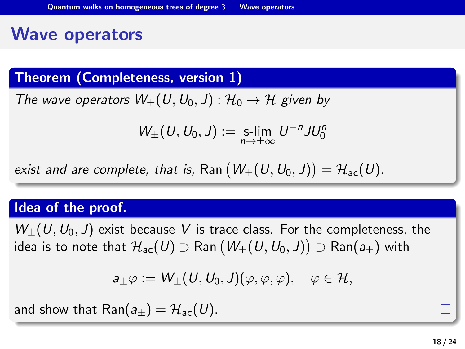## <span id="page-17-0"></span>Wave operators

Theorem (Completeness, version 1)

The wave operators  $W_+(U,U_0,J): \mathcal{H}_0 \to \mathcal{H}$  given by

$$
W_{\pm}(U,U_0,J):=\underset{n\rightarrow\pm\infty}{\text{s-lim}}U^{-n}JU_0^n
$$

exist and are complete, that is,  $\mathsf{Ran}\left(W_\pm(U,U_0,J)\right) = \mathcal{H}_{\mathsf{ac}}(U).$ 

#### Idea of the proof.

 $W_{+}(U,U_0, J)$  exist because V is trace class. For the completeness, the idea is to note that  $\mathcal{H}_{\mathsf{ac}}(\mathsf{U})\supset \mathsf{Ran}\left(W_\pm(\mathsf{U},\mathsf{U}_0,\mathsf{J})\right)\supset \mathsf{Ran}(\mathsf{a}_\pm)$  with

$$
a_{\pm}\varphi:=W_{\pm}(U,U_0,J)(\varphi,\varphi,\varphi),\quad \varphi\in\mathcal{H},
$$

and show that Ran( $a_{+}$ ) =  $\mathcal{H}_{ac}(U)$ .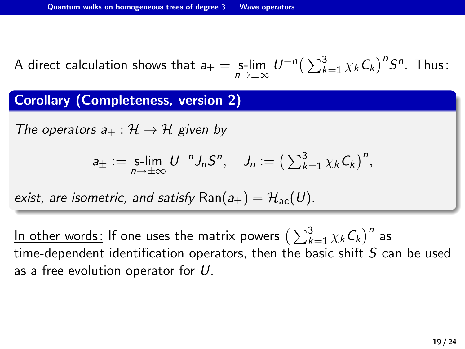A direct calculation shows that  $a_{\pm} = \lim_{n \to \pm \infty} U^{-n} \left( \sum_{k=1}^{3} \chi_k C_k \right)^n S^n$ . Thus:

Corollary (Completeness, version 2)

The operators  $a_{+} : \mathcal{H} \to \mathcal{H}$  given by

$$
a_{\pm} := \mathop{\mathrm{S-lim}}\limits_{n \to \pm \infty} U^{-n} J_n S^n, \quad J_n := \left( \sum_{k=1}^3 \chi_k C_k \right)^n,
$$

exist, are isometric, and satisfy Ran $(a_+) = H_{ac}(U)$ .

<u>In other words:</u> If one uses the matrix powers  $\big(\sum_{k=1}^3 \chi_k \mathcal{C}_k\big)^n$  as time-dependent identification operators, then the basic shift S can be used as a free evolution operator for U.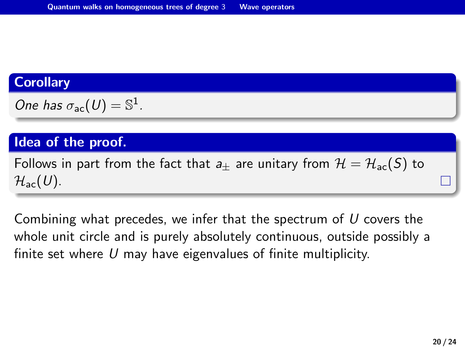#### **Corollary**

One has 
$$
\sigma_{ac}(U) = \mathbb{S}^1
$$
.

### Idea of the proof.

Follows in part from the fact that  $a_{\pm}$  are unitary from  $\mathcal{H} = \mathcal{H}_{ac}(S)$  to  $\mathcal{H}_{\text{ac}}(U)$ .

Combining what precedes, we infer that the spectrum of  $U$  covers the whole unit circle and is purely absolutely continuous, outside possibly a finite set where  $U$  may have eigenvalues of finite multiplicity.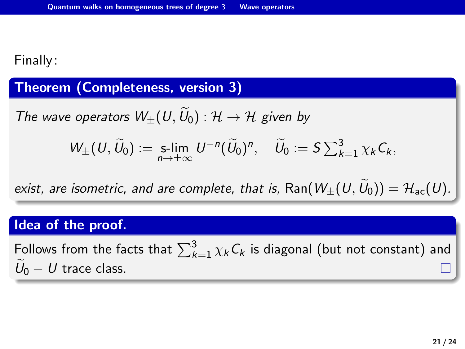### Finally:

#### Theorem (Completeness, version 3)

The wave operators  $W_{+}(U,U_0): \mathcal{H} \to \mathcal{H}$  given by

$$
W_{\pm}(U,\widetilde{U}_0):=\mathop{\hbox{\rm s-lim}}_{n\to\pm\infty}U^{-n}(\widetilde{U}_0)^n,\quad \widetilde{U}_0:=S\sum_{k=1}^3\chi_k\,C_k,
$$

exist, are isometric, and are complete, that is, Ran( $W_+(U,\widetilde{U}_0) = \mathcal{H}_{ac}(U)$ .

### Idea of the proof.

Follows from the facts that  $\sum_{k=1}^{3}\chi_{k}C_{k}$  is diagonal (but not constant) and  $U_0 - U$  trace class.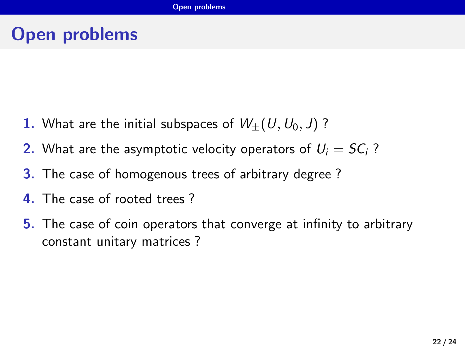# <span id="page-21-0"></span>Open problems

- 1. What are the initial subspaces of  $W_+(U,U_0,J)$ ?
- 2. What are the asymptotic velocity operators of  $U_i = SC_i$ ?
- **3.** The case of homogenous trees of arbitrary degree?
- 4. The case of rooted trees ?
- **5.** The case of coin operators that converge at infinity to arbitrary constant unitary matrices ?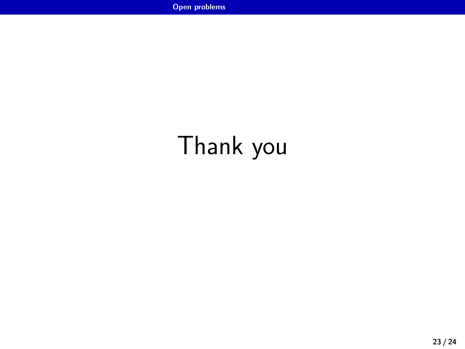# Thank you